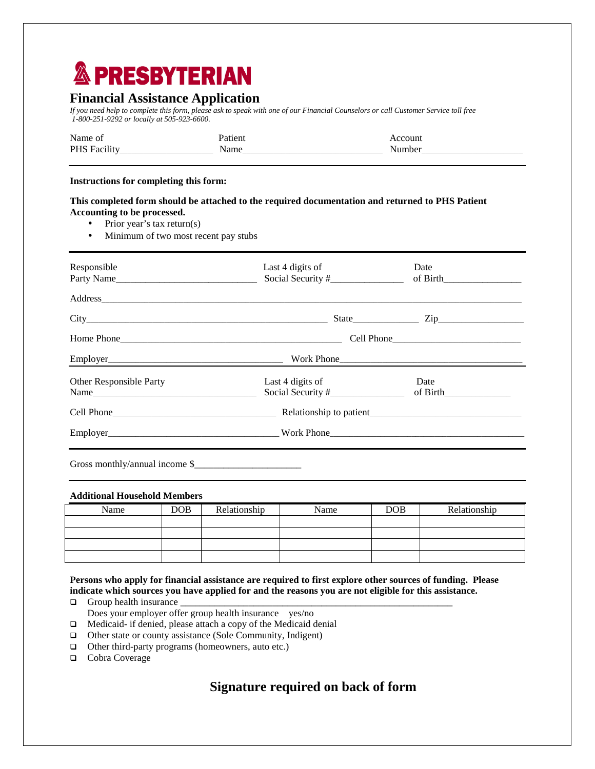# **& PRESBYTERIAN**

# **Financial Assistance Application**

 *1-800-251-9292 or locally at 505-923-6600. If you need help to complete this form, please ask to speak with one of our Financial Counselors or call Customer Service toll free* 

| Name of             | Patient |        |
|---------------------|---------|--------|
| <b>PHS Facility</b> | Name    | Number |

# **Instructions for completing this form:**

# **This completed form should be attached to the required documentation and returned to PHS Patient Accounting to be processed.**

- Prior year's tax return(s)
- Minimum of two most recent pay stubs

| Responsible<br>Party Name | Last 4 digits of | Date             |  |  |  |
|---------------------------|------------------|------------------|--|--|--|
|                           |                  |                  |  |  |  |
|                           |                  |                  |  |  |  |
|                           |                  |                  |  |  |  |
|                           | Work Phone       |                  |  |  |  |
| Other Responsible Party   | Last 4 digits of | Date<br>of Birth |  |  |  |
|                           |                  |                  |  |  |  |
| Employer Work Phone       |                  |                  |  |  |  |

Gross monthly/annual income \$\_\_\_\_\_\_\_\_\_\_\_\_\_\_\_\_\_\_\_\_\_\_

# **Additional Household Members**

| Name | DOB | Relationship | Name | DOB | Relationship |
|------|-----|--------------|------|-----|--------------|
|      |     |              |      |     |              |
|      |     |              |      |     |              |
|      |     |              |      |     |              |
|      |     |              |      |     |              |

 **Persons who apply for financial assistance are required to first explore other sources of funding. Please indicate which sources you have applied for and the reasons you are not eligible for this assistance.** 

• Group health insurance \_\_\_\_\_\_\_\_\_\_\_\_\_\_\_\_\_\_\_\_\_\_\_\_\_\_\_\_\_\_\_\_\_\_\_\_\_\_\_\_\_\_\_\_\_\_\_\_\_\_\_\_\_\_\_\_

- Does your employer offer group health insurance yes/no
- Medicaid- if denied, please attach a copy of the Medicaid denial
- **Q** Other state or county assistance (Sole Community, Indigent)
- **I** Other third-party programs (homeowners, auto etc.)
- **Q** Cobra Coverage

# **Signature required on back of form**